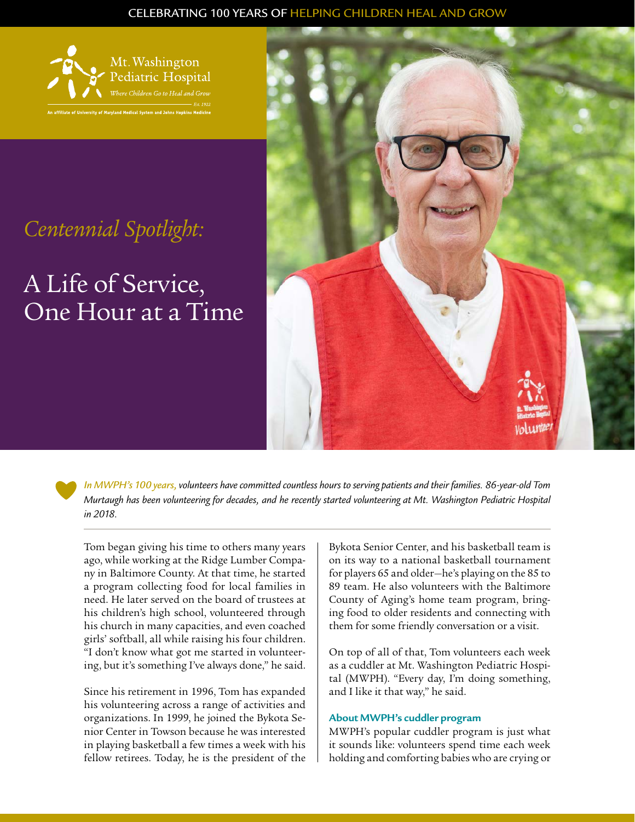### CELEBRATING 100 YEARS OF HELPING CHILDREN HEAL AND GROW



# *Centennial Spotlight:*

A Life of Service, One Hour at a Time



*In MWPH's 100 years, volunteers have committed countless hours to serving patients and their families. 86-year-old Tom Murtaugh has been volunteering for decades, and he recently started volunteering at Mt. Washington Pediatric Hospital in 2018.* 

Tom began giving his time to others many years ago, while working at the Ridge Lumber Company in Baltimore County. At that time, he started a program collecting food for local families in need. He later served on the board of trustees at his children's high school, volunteered through his church in many capacities, and even coached girls' softball, all while raising his four children. "I don't know what got me started in volunteering, but it's something I've always done," he said.

Since his retirement in 1996, Tom has expanded his volunteering across a range of activities and organizations. In 1999, he joined the Bykota Senior Center in Towson because he was interested in playing basketball a few times a week with his fellow retirees. Today, he is the president of the Bykota Senior Center, and his basketball team is on its way to a national basketball tournament for players 65 and older—he's playing on the 85 to 89 team. He also volunteers with the Baltimore County of Aging's home team program, bringing food to older residents and connecting with them for some friendly conversation or a visit.

On top of all of that, Tom volunteers each week as a cuddler at Mt. Washington Pediatric Hospital (MWPH). "Every day, I'm doing something, and I like it that way," he said.

## **About MWPH's cuddler program**

MWPH's popular cuddler program is just what it sounds like: volunteers spend time each week holding and comforting babies who are crying or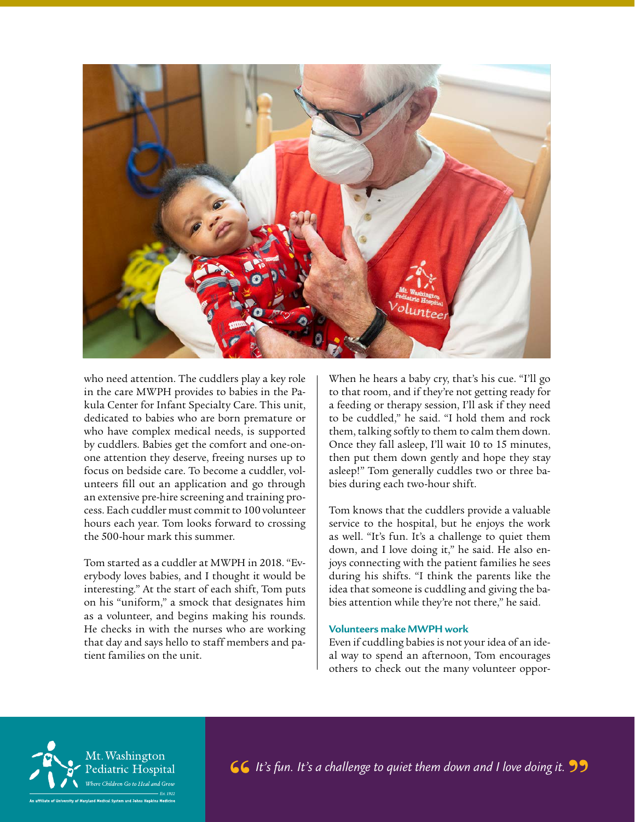

who need attention. The cuddlers play a key role in the care MWPH provides to babies in the Pakula Center for Infant Specialty Care. This unit, dedicated to babies who are born premature or who have complex medical needs, is supported by cuddlers. Babies get the comfort and one-onone attention they deserve, freeing nurses up to focus on bedside care. To become a cuddler, volunteers fill out an application and go through an extensive pre-hire screening and training process. Each cuddler must commit to 100 volunteer hours each year. Tom looks forward to crossing the 500-hour mark this summer.

Tom started as a cuddler at MWPH in 2018. "Everybody loves babies, and I thought it would be interesting." At the start of each shift, Tom puts on his "uniform," a smock that designates him as a volunteer, and begins making his rounds. He checks in with the nurses who are working that day and says hello to staff members and patient families on the unit.

When he hears a baby cry, that's his cue. "I'll go to that room, and if they're not getting ready for a feeding or therapy session, I'll ask if they need to be cuddled," he said. "I hold them and rock them, talking softly to them to calm them down. Once they fall asleep, I'll wait 10 to 15 minutes, then put them down gently and hope they stay asleep!" Tom generally cuddles two or three babies during each two-hour shift.

Tom knows that the cuddlers provide a valuable service to the hospital, but he enjoys the work as well. "It's fun. It's a challenge to quiet them down, and I love doing it," he said. He also enjoys connecting with the patient families he sees during his shifts. "I think the parents like the idea that someone is cuddling and giving the babies attention while they're not there," he said.

#### **Volunteers make MWPH work**

Even if cuddling babies is not your idea of an ideal way to spend an afternoon, Tom encourages others to check out the many volunteer oppor-



*It's fun. It's a challenge to quiet them down and I love doing it.*